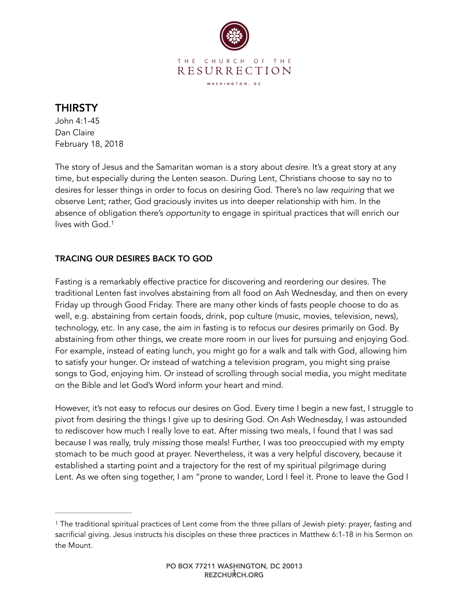

## THIRSTY

John 4:1-45 Dan Claire February 18, 2018

The story of Jesus and the Samaritan woman is a story about *desire*. It's a great story at any time, but especially during the Lenten season. During Lent, Christians choose to say no to desires for lesser things in order to focus on desiring God. There's no law *requiring* that we observe Lent; rather, God graciously invites us into deeper relationship with him. In the absence of obligation there's *opportunity* to engage in spiritual practices that will enrich our lives with God.[1](#page-0-0)

## <span id="page-0-1"></span>TRACING OUR DESIRES BACK TO GOD

Fasting is a remarkably effective practice for discovering and reordering our desires. The traditional Lenten fast involves abstaining from all food on Ash Wednesday, and then on every Friday up through Good Friday. There are many other kinds of fasts people choose to do as well, e.g. abstaining from certain foods, drink, pop culture (music, movies, television, news), technology, etc. In any case, the aim in fasting is to refocus our desires primarily on God. By abstaining from other things, we create more room in our lives for pursuing and enjoying God. For example, instead of eating lunch, you might go for a walk and talk with God, allowing him to satisfy your hunger. Or instead of watching a television program, you might sing praise songs to God, enjoying him. Or instead of scrolling through social media, you might meditate on the Bible and let God's Word inform your heart and mind.

However, it's not easy to refocus our desires on God. Every time I begin a new fast, I struggle to pivot from desiring the things I give up to desiring God. On Ash Wednesday, I was astounded to rediscover how much I really love to eat. After missing two meals, I found that I was sad because I was really, truly *missing* those meals! Further, I was too preoccupied with my empty stomach to be much good at prayer. Nevertheless, it was a very helpful discovery, because it established a starting point and a trajectory for the rest of my spiritual pilgrimage during Lent. As we often sing together, I am "prone to wander, Lord I feel it. Prone to leave the God I

<span id="page-0-0"></span><sup>&</sup>lt;sup>[1](#page-0-1)</sup> The traditional spiritual practices of Lent come from the three pillars of Jewish piety: prayer, fasting and sacrificial giving. Jesus instructs his disciples on these three practices in Matthew 6:1-18 in his Sermon on the Mount.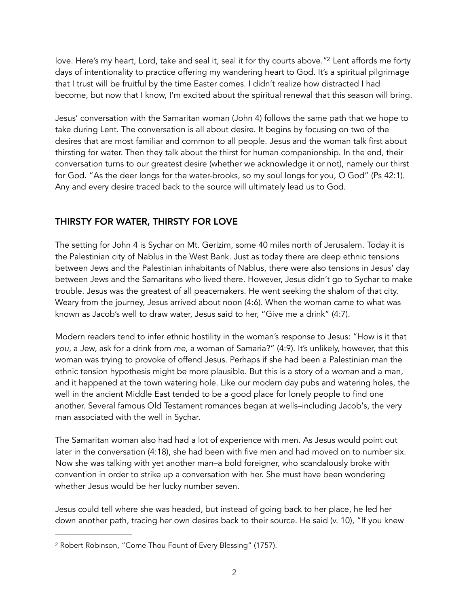<span id="page-1-1"></span>love. Here's my heart, Lord, take and seal it, seal it for thy courts above."<sup>[2](#page-1-0)</sup> Lent affords me forty days of intentionality to practice offering my wandering heart to God. It's a spiritual pilgrimage that I trust will be fruitful by the time Easter comes. I didn't realize how distracted I had become, but now that I know, I'm excited about the spiritual renewal that this season will bring.

Jesus' conversation with the Samaritan woman (John 4) follows the same path that we hope to take during Lent. The conversation is all about desire. It begins by focusing on two of the desires that are most familiar and common to all people. Jesus and the woman talk first about thirsting for water. Then they talk about the thirst for human companionship. In the end, their conversation turns to our greatest desire (whether we acknowledge it or not), namely our thirst for God. "As the deer longs for the water-brooks, so my soul longs for you, O God" (Ps 42:1). Any and every desire traced back to the source will ultimately lead us to God.

## THIRSTY FOR WATER, THIRSTY FOR LOVE

The setting for John 4 is Sychar on Mt. Gerizim, some 40 miles north of Jerusalem. Today it is the Palestinian city of Nablus in the West Bank. Just as today there are deep ethnic tensions between Jews and the Palestinian inhabitants of Nablus, there were also tensions in Jesus' day between Jews and the Samaritans who lived there. However, Jesus didn't go to Sychar to make trouble. Jesus was the greatest of all peacemakers. He went seeking the shalom of that city. Weary from the journey, Jesus arrived about noon (4:6). When the woman came to what was known as Jacob's well to draw water, Jesus said to her, "Give me a drink" (4:7).

Modern readers tend to infer ethnic hostility in the woman's response to Jesus: "How is it that *you*, a Jew, ask for a drink from *me*, a woman of Samaria?" (4:9). It's unlikely, however, that this woman was trying to provoke of offend Jesus. Perhaps if she had been a Palestinian man the ethnic tension hypothesis might be more plausible. But this is a story of a *woman* and a man, and it happened at the town watering hole. Like our modern day pubs and watering holes, the well in the ancient Middle East tended to be a good place for lonely people to find one another. Several famous Old Testament romances began at wells–including Jacob's, the very man associated with the well in Sychar.

The Samaritan woman also had had a lot of experience with men. As Jesus would point out later in the conversation (4:18), she had been with five men and had moved on to number six. Now she was talking with yet another man–a bold foreigner, who scandalously broke with convention in order to strike up a conversation with her. She must have been wondering whether Jesus would be her lucky number seven.

Jesus could tell where she was headed, but instead of going back to her place, he led her down another path, tracing her own desires back to their source. He said (v. 10), "If you knew

<span id="page-1-0"></span><sup>&</sup>lt;sup>[2](#page-1-1)</sup> Robert Robinson, "Come Thou Fount of Every Blessing" (1757).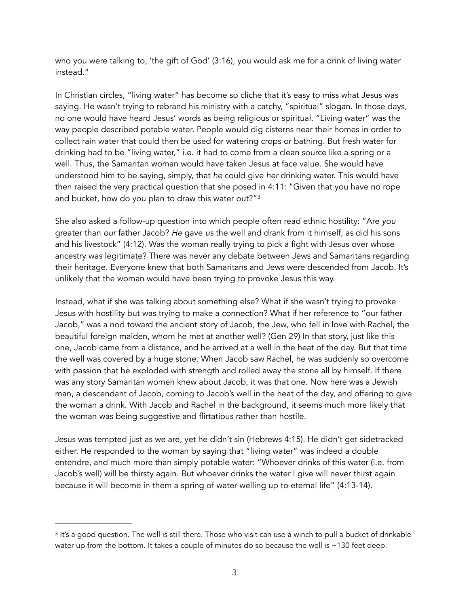who you were talking to, 'the gift of God' (3:16), you would ask me for a drink of living water instead."

In Christian circles, "living water" has become so cliche that it's easy to miss what Jesus was saying. He wasn't trying to rebrand his ministry with a catchy, "spiritual" slogan. In those days, no one would have heard Jesus' words as being religious or spiritual. "Living water" was the way people described potable water. People would dig cisterns near their homes in order to collect rain water that could then be used for watering crops or bathing. But fresh water for drinking had to be "living water," i.e. it had to come from a clean source like a spring or a well. Thus, the Samaritan woman would have taken Jesus at face value. She would have understood him to be saying, simply, that *he* could give *her* drinking water. This would have then raised the very practical question that she posed in 4:11: "Given that you have no rope and bucket, how do you plan to draw this water out?["3](#page-2-0)

<span id="page-2-1"></span>She also asked a follow-up question into which people often read ethnic hostility: "Are *you* greater than *our* father Jacob? *He* gave *us* the well and drank from it himself, as did his sons and his livestock" (4:12). Was the woman really trying to pick a fight with Jesus over whose ancestry was legitimate? There was never any debate between Jews and Samaritans regarding their heritage. Everyone knew that both Samaritans and Jews were descended from Jacob. It's unlikely that the woman would have been trying to provoke Jesus this way.

Instead, what if she was talking about something else? What if she wasn't trying to provoke Jesus with hostility but was trying to make a connection? What if her reference to "our father Jacob," was a nod toward the ancient story of Jacob, the Jew, who fell in love with Rachel, the beautiful foreign maiden, whom he met at another well? (Gen 29) In that story, just like this one, Jacob came from a distance, and he arrived at a well in the heat of the day. But that time the well was covered by a huge stone. When Jacob saw Rachel, he was suddenly so overcome with passion that he exploded with strength and rolled away the stone all by himself. If there was any story Samaritan women knew about Jacob, it was that one. Now here was a Jewish man, a descendant of Jacob, coming to Jacob's well in the heat of the day, and offering to give the woman a drink. With Jacob and Rachel in the background, it seems much more likely that the woman was being suggestive and flirtatious rather than hostile.

Jesus was tempted just as we are, yet he didn't sin (Hebrews 4:15). He didn't get sidetracked either. He responded to the woman by saying that "living water" was indeed a double entendre, and much more than simply potable water: "Whoever drinks of this water (i.e. from Jacob's well) will be thirsty again. But whoever drinks the water I give will never thirst again because it will become in them a spring of water welling up to eternal life" (4:13-14).

<span id="page-2-0"></span><sup>&</sup>lt;sup>[3](#page-2-1)</sup> It's a good question. The well is still there. Those who visit can use a winch to pull a bucket of drinkable water up from the bottom. It takes a couple of minutes do so because the well is ~130 feet deep.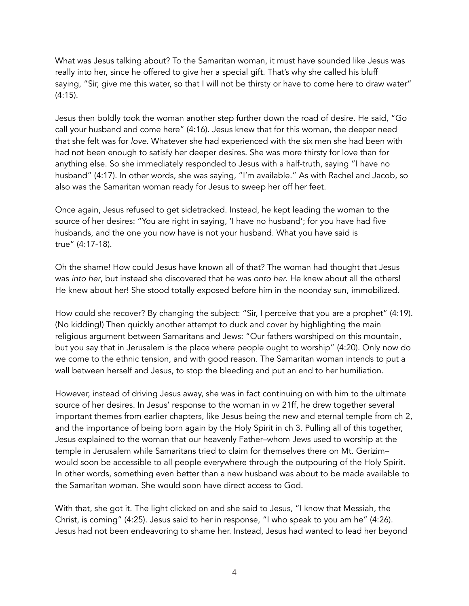What was Jesus talking about? To the Samaritan woman, it must have sounded like Jesus was really into her, since he offered to give her a special gift. That's why she called his bluff saying, "Sir, give me this water, so that I will not be thirsty or have to come here to draw water" (4:15).

Jesus then boldly took the woman another step further down the road of desire. He said, "Go call your husband and come here" (4:16). Jesus knew that for this woman, the deeper need that she felt was for *love*. Whatever she had experienced with the six men she had been with had not been enough to satisfy her deeper desires. She was more thirsty for love than for anything else. So she immediately responded to Jesus with a half-truth, saying "I have no husband" (4:17). In other words, she was saying, "I'm available." As with Rachel and Jacob, so also was the Samaritan woman ready for Jesus to sweep her off her feet.

Once again, Jesus refused to get sidetracked. Instead, he kept leading the woman to the source of her desires: "You are right in saying, 'I have no husband'; for you have had five husbands, and the one you now have is not your husband. What you have said is true" (4:17-18).

Oh the shame! How could Jesus have known all of that? The woman had thought that Jesus was *into her*, but instead she discovered that he was *onto her*. He knew about all the others! He knew about her! She stood totally exposed before him in the noonday sun, immobilized.

How could she recover? By changing the subject: "Sir, I perceive that you are a prophet" (4:19). (No kidding!) Then quickly another attempt to duck and cover by highlighting the main religious argument between Samaritans and Jews: "Our fathers worshiped on this mountain, but you say that in Jerusalem is the place where people ought to worship" (4:20). Only now do we come to the ethnic tension, and with good reason. The Samaritan woman intends to put a wall between herself and Jesus, to stop the bleeding and put an end to her humiliation.

However, instead of driving Jesus away, she was in fact continuing on with him to the ultimate source of her desires. In Jesus' response to the woman in vv 21ff, he drew together several important themes from earlier chapters, like Jesus being the new and eternal temple from ch 2, and the importance of being born again by the Holy Spirit in ch 3. Pulling all of this together, Jesus explained to the woman that our heavenly Father–whom Jews used to worship at the temple in Jerusalem while Samaritans tried to claim for themselves there on Mt. Gerizim– would soon be accessible to all people everywhere through the outpouring of the Holy Spirit. In other words, something even better than a new husband was about to be made available to the Samaritan woman. She would soon have direct access to God.

With that, she got it. The light clicked on and she said to Jesus, "I know that Messiah, the Christ, is coming" (4:25). Jesus said to her in response, "I who speak to you am he" (4:26). Jesus had not been endeavoring to shame her. Instead, Jesus had wanted to lead her beyond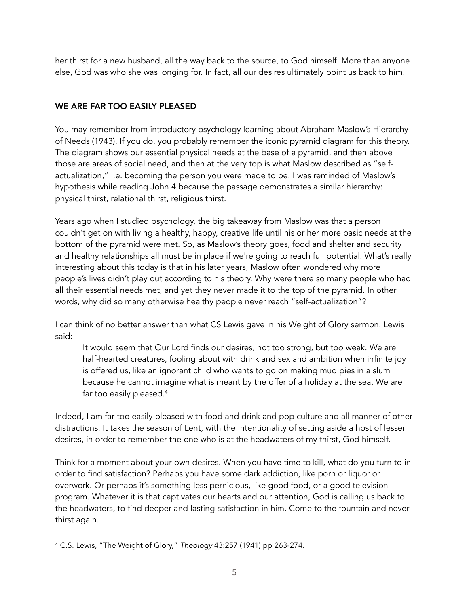her thirst for a new husband, all the way back to the source, to God himself. More than anyone else, God was who she was longing for. In fact, all our desires ultimately point us back to him.

## WE ARE FAR TOO EASILY PLEASED

You may remember from introductory psychology learning about Abraham Maslow's Hierarchy of Needs (1943). If you do, you probably remember the iconic pyramid diagram for this theory. The diagram shows our essential physical needs at the base of a pyramid, and then above those are areas of social need, and then at the very top is what Maslow described as "selfactualization," i.e. becoming the person you were made to be. I was reminded of Maslow's hypothesis while reading John 4 because the passage demonstrates a similar hierarchy: physical thirst, relational thirst, religious thirst.

Years ago when I studied psychology, the big takeaway from Maslow was that a person couldn't get on with living a healthy, happy, creative life until his or her more basic needs at the bottom of the pyramid were met. So, as Maslow's theory goes, food and shelter and security and healthy relationships all must be in place if we're going to reach full potential. What's really interesting about this today is that in his later years, Maslow often wondered why more people's lives didn't play out according to his theory. Why were there so many people who had all their essential needs met, and yet they never made it to the top of the pyramid. In other words, why did so many otherwise healthy people never reach "self-actualization"?

I can think of no better answer than what CS Lewis gave in his Weight of Glory sermon. Lewis said:

<span id="page-4-1"></span>It would seem that Our Lord finds our desires, not too strong, but too weak. We are half-hearted creatures, fooling about with drink and sex and ambition when infinite joy is offered us, like an ignorant child who wants to go on making mud pies in a slum because he cannot imagine what is meant by the offer of a holiday at the sea. We are far too easily pleased[.4](#page-4-0)

Indeed, I am far too easily pleased with food and drink and pop culture and all manner of other distractions. It takes the season of Lent, with the intentionality of setting aside a host of lesser desires, in order to remember the one who is at the headwaters of my thirst, God himself.

Think for a moment about your own desires. When you have time to kill, what do you turn to in order to find satisfaction? Perhaps you have some dark addiction, like porn or liquor or overwork. Or perhaps it's something less pernicious, like good food, or a good television program. Whatever it is that captivates our hearts and our attention, God is calling us back to the headwaters, to find deeper and lasting satisfaction in him. Come to the fountain and never thirst again.

<span id="page-4-0"></span>C.S. Lewis, "The Weight of Glory," *Theology* 43:257 (1941) pp 263-274. [4](#page-4-1)